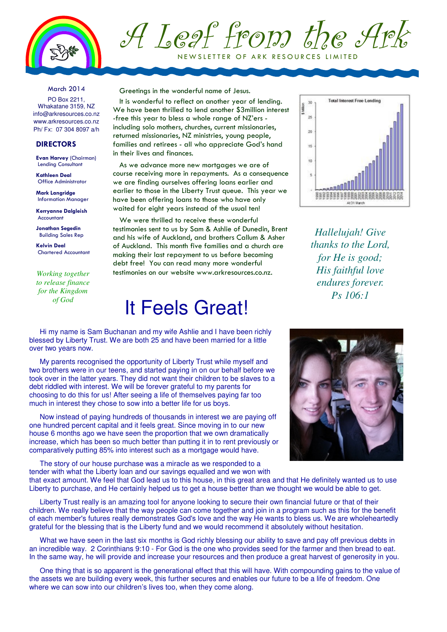

# A Leaf from the Ark NEW SLETTER OF ARK RESOURCES LIMITED

March 2014

PO Box 2211, Whakatane 3159, NZ info@arkresources.co.nz www.arkresources.co.nz Ph/ Fx: 07 304 8097 a/h

#### **DIRECTORS**

Evan Harvey (Chairman) Lending Consultant

Kathleen Deal Office Administrator

Mark Langridge Information Manager

Kerryanne Dalgleish Accountant

Jonathan Segedin Building Sales Rep

Kelvin Deal Chartered Accountant

*Working together to release finance for the Kingdom of God*

Greetings in the wonderful name of Jesus.

It is wonderful to reflect on another year of lending. We have been thrilled to lend another \$3million interest -free this year to bless a whole range of NZ'ers including solo mothers, churches, current missionaries, returned missionaries, NZ ministries, young people, families and retirees - all who appreciate God's hand in their lives and finances.

As we advance more new mortgages we are of course receiving more in repayments. As a consequence we are finding ourselves offering loans earlier and earlier to those in the Liberty Trust queue. This year we have been offering loans to those who have only waited for eight years instead of the usual ten!

We were thrilled to receive these wonderful testimonies sent to us by Sam & Ashlie of Dunedin, Brent and his wife of Auckland, and brothers Callum & Asher of Auckland. This month five families and a church are making their last repayment to us before becoming debt free! You can read many more wonderful testimonies on our website www.arkresources.co.nz.

# It Feels Great!

Hi my name is Sam Buchanan and my wife Ashlie and I have been richly blessed by Liberty Trust. We are both 25 and have been married for a little over two years now.

My parents recognised the opportunity of Liberty Trust while myself and two brothers were in our teens, and started paying in on our behalf before we took over in the latter years. They did not want their children to be slaves to a debt riddled with interest. We will be forever grateful to my parents for choosing to do this for us! After seeing a life of themselves paying far too much in interest they chose to sow into a better life for us boys.

Now instead of paying hundreds of thousands in interest we are paying off one hundred percent capital and it feels great. Since moving in to our new house 6 months ago we have seen the proportion that we own dramatically increase, which has been so much better than putting it in to rent previously or comparatively putting 85% into interest such as a mortgage would have.

The story of our house purchase was a miracle as we responded to a tender with what the Liberty loan and our savings equalled and we won with



*Hallelujah! Give thanks to the Lord, for He is good; His faithful love endures forever. Ps 106:1* 



that exact amount. We feel that God lead us to this house, in this great area and that He definitely wanted us to use Liberty to purchase, and He certainly helped us to get a house better than we thought we would be able to get.

Liberty Trust really is an amazing tool for anyone looking to secure their own financial future or that of their children. We really believe that the way people can come together and join in a program such as this for the benefit of each member's futures really demonstrates God's love and the way He wants to bless us. We are wholeheartedly grateful for the blessing that is the Liberty fund and we would recommend it absolutely without hesitation.

What we have seen in the last six months is God richly blessing our ability to save and pay off previous debts in an incredible way. 2 Corinthians 9:10 - For God is the one who provides seed for the farmer and then bread to eat. In the same way, he will provide and increase your resources and then produce a great harvest of generosity in you.

One thing that is so apparent is the generational effect that this will have. With compounding gains to the value of the assets we are building every week, this further secures and enables our future to be a life of freedom. One where we can sow into our children's lives too, when they come along.